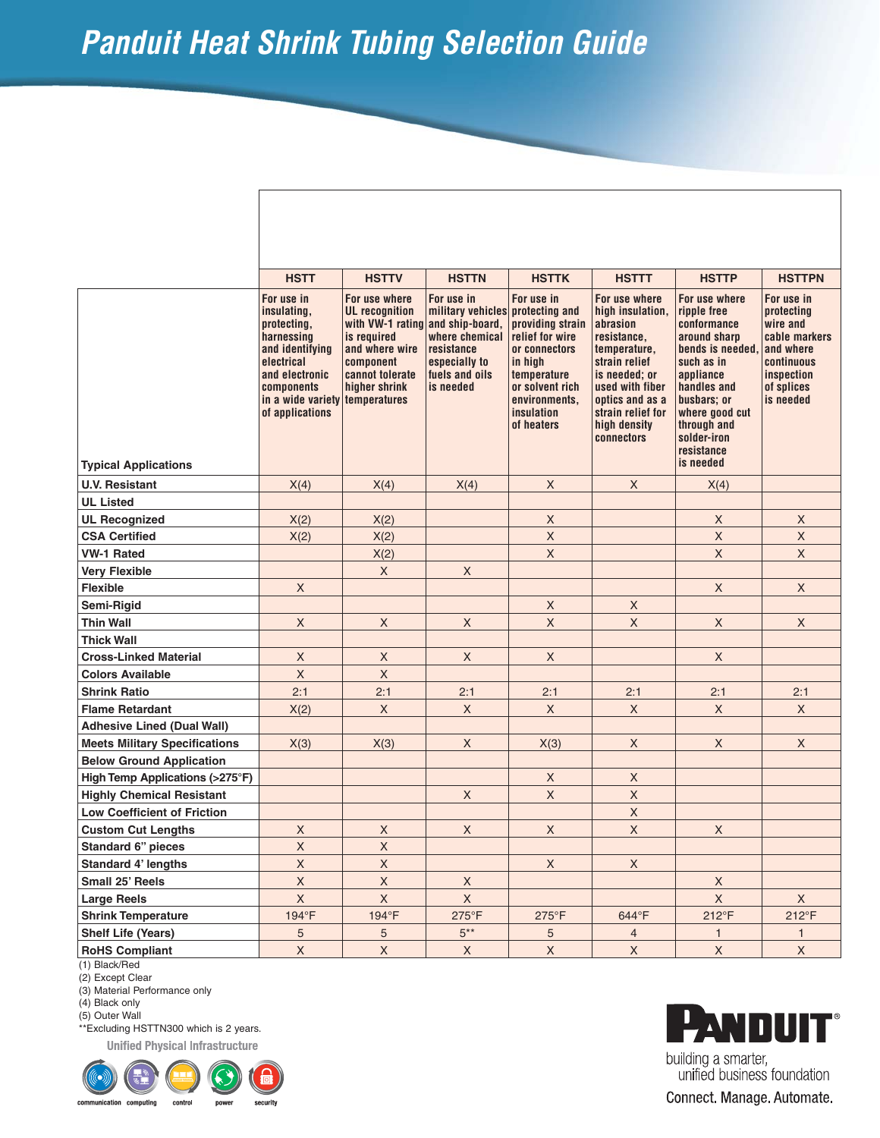## **Panduit Heat Shrink Tubing Selection Guide**

|                                           | <b>HSTT</b>                                                                                                                                                                  | <b>HSTTV</b>                                                                                                                                                 | <b>HSTTN</b>                                                                                                    | <b>HSTTK</b>                                                                                                                                                                   | <b>HSTTT</b>                                                                                                                                                                                            | <b>HSTTP</b>                                                                                                                                                                                                        | <b>HSTTPN</b>                                                                                                             |
|-------------------------------------------|------------------------------------------------------------------------------------------------------------------------------------------------------------------------------|--------------------------------------------------------------------------------------------------------------------------------------------------------------|-----------------------------------------------------------------------------------------------------------------|--------------------------------------------------------------------------------------------------------------------------------------------------------------------------------|---------------------------------------------------------------------------------------------------------------------------------------------------------------------------------------------------------|---------------------------------------------------------------------------------------------------------------------------------------------------------------------------------------------------------------------|---------------------------------------------------------------------------------------------------------------------------|
| <b>Typical Applications</b>               | For use in<br>insulating,<br>protecting,<br>harnessing<br>and identifying<br>electrical<br>and electronic<br>components<br>in a wide variety temperatures<br>of applications | For use where<br><b>UL</b> recognition<br>with VW-1 rating and ship-board,<br>is required<br>and where wire<br>component<br>cannot tolerate<br>higher shrink | For use in<br>military vehicles<br>where chemical<br>resistance<br>especially to<br>fuels and oils<br>is needed | For use in<br>protecting and<br>providing strain<br>relief for wire<br>or connectors<br>in high<br>temperature<br>or solvent rich<br>environments.<br>insulation<br>of heaters | For use where<br>high insulation,<br>abrasion<br>resistance,<br>temperature,<br>strain relief<br>is needed; or<br>used with fiber<br>optics and as a<br>strain relief for<br>high density<br>connectors | For use where<br>ripple free<br>conformance<br>around sharp<br>bends is needed,<br>such as in<br>appliance<br>handles and<br>busbars; or<br>where good cut<br>through and<br>solder-iron<br>resistance<br>is needed | For use in<br>protecting<br>wire and<br>cable markers<br>and where<br>continuous<br>inspection<br>of splices<br>is needed |
|                                           |                                                                                                                                                                              |                                                                                                                                                              |                                                                                                                 |                                                                                                                                                                                |                                                                                                                                                                                                         |                                                                                                                                                                                                                     |                                                                                                                           |
| <b>U.V. Resistant</b><br><b>UL Listed</b> | X(4)                                                                                                                                                                         | X(4)                                                                                                                                                         | X(4)                                                                                                            | $\mathsf{X}$                                                                                                                                                                   | X                                                                                                                                                                                                       | X(4)                                                                                                                                                                                                                |                                                                                                                           |
| <b>UL Recognized</b>                      |                                                                                                                                                                              | X(2)                                                                                                                                                         |                                                                                                                 | $\mathsf X$                                                                                                                                                                    |                                                                                                                                                                                                         | X                                                                                                                                                                                                                   | $\mathsf X$                                                                                                               |
| <b>CSA Certified</b>                      | X(2)<br>X(2)                                                                                                                                                                 | X(2)                                                                                                                                                         |                                                                                                                 | $\mathsf X$                                                                                                                                                                    |                                                                                                                                                                                                         | $\mathsf{X}$                                                                                                                                                                                                        | $\mathsf X$                                                                                                               |
| <b>VW-1 Rated</b>                         |                                                                                                                                                                              | X(2)                                                                                                                                                         |                                                                                                                 | $\mathsf X$                                                                                                                                                                    |                                                                                                                                                                                                         | X                                                                                                                                                                                                                   | X                                                                                                                         |
| <b>Very Flexible</b>                      |                                                                                                                                                                              | X                                                                                                                                                            | X                                                                                                               |                                                                                                                                                                                |                                                                                                                                                                                                         |                                                                                                                                                                                                                     |                                                                                                                           |
| <b>Flexible</b>                           | $\mathsf X$                                                                                                                                                                  |                                                                                                                                                              |                                                                                                                 |                                                                                                                                                                                |                                                                                                                                                                                                         | X                                                                                                                                                                                                                   | X                                                                                                                         |
| Semi-Rigid                                |                                                                                                                                                                              |                                                                                                                                                              |                                                                                                                 | $\mathsf{X}$                                                                                                                                                                   | X                                                                                                                                                                                                       |                                                                                                                                                                                                                     |                                                                                                                           |
| <b>Thin Wall</b>                          | X                                                                                                                                                                            | X                                                                                                                                                            | X                                                                                                               | $\mathsf X$                                                                                                                                                                    | X                                                                                                                                                                                                       | X                                                                                                                                                                                                                   | X                                                                                                                         |
| <b>Thick Wall</b>                         |                                                                                                                                                                              |                                                                                                                                                              |                                                                                                                 |                                                                                                                                                                                |                                                                                                                                                                                                         |                                                                                                                                                                                                                     |                                                                                                                           |
| <b>Cross-Linked Material</b>              | X                                                                                                                                                                            | X                                                                                                                                                            | X                                                                                                               | X                                                                                                                                                                              |                                                                                                                                                                                                         | X                                                                                                                                                                                                                   |                                                                                                                           |
| <b>Colors Available</b>                   | $\mathsf X$                                                                                                                                                                  | X                                                                                                                                                            |                                                                                                                 |                                                                                                                                                                                |                                                                                                                                                                                                         |                                                                                                                                                                                                                     |                                                                                                                           |
| <b>Shrink Ratio</b>                       | 2:1                                                                                                                                                                          | 2:1                                                                                                                                                          | 2:1                                                                                                             | 2:1                                                                                                                                                                            | 2:1                                                                                                                                                                                                     | 2:1                                                                                                                                                                                                                 | 2:1                                                                                                                       |
| <b>Flame Retardant</b>                    | X(2)                                                                                                                                                                         | X                                                                                                                                                            | X                                                                                                               | X                                                                                                                                                                              | X                                                                                                                                                                                                       | X                                                                                                                                                                                                                   | X                                                                                                                         |
| <b>Adhesive Lined (Dual Wall)</b>         |                                                                                                                                                                              |                                                                                                                                                              |                                                                                                                 |                                                                                                                                                                                |                                                                                                                                                                                                         |                                                                                                                                                                                                                     |                                                                                                                           |
| <b>Meets Military Specifications</b>      | X(3)                                                                                                                                                                         | X(3)                                                                                                                                                         | X                                                                                                               | X(3)                                                                                                                                                                           | X                                                                                                                                                                                                       | X                                                                                                                                                                                                                   | X                                                                                                                         |
| <b>Below Ground Application</b>           |                                                                                                                                                                              |                                                                                                                                                              |                                                                                                                 |                                                                                                                                                                                |                                                                                                                                                                                                         |                                                                                                                                                                                                                     |                                                                                                                           |
| High Temp Applications (>275°F)           |                                                                                                                                                                              |                                                                                                                                                              |                                                                                                                 | $\mathsf{X}$                                                                                                                                                                   | X                                                                                                                                                                                                       |                                                                                                                                                                                                                     |                                                                                                                           |
| <b>Highly Chemical Resistant</b>          |                                                                                                                                                                              |                                                                                                                                                              | X                                                                                                               | X                                                                                                                                                                              | $\mathsf X$                                                                                                                                                                                             |                                                                                                                                                                                                                     |                                                                                                                           |
| <b>Low Coefficient of Friction</b>        |                                                                                                                                                                              |                                                                                                                                                              |                                                                                                                 |                                                                                                                                                                                | $\mathsf X$                                                                                                                                                                                             |                                                                                                                                                                                                                     |                                                                                                                           |
| <b>Custom Cut Lengths</b>                 | $\mathsf X$                                                                                                                                                                  | X                                                                                                                                                            | X                                                                                                               | X                                                                                                                                                                              | $\mathsf X$                                                                                                                                                                                             | X                                                                                                                                                                                                                   |                                                                                                                           |
| <b>Standard 6" pieces</b>                 | $\mathsf X$                                                                                                                                                                  | $\mathsf X$                                                                                                                                                  |                                                                                                                 |                                                                                                                                                                                |                                                                                                                                                                                                         |                                                                                                                                                                                                                     |                                                                                                                           |
| Standard 4' lengths                       | $\mathsf X$                                                                                                                                                                  | X                                                                                                                                                            |                                                                                                                 | $\mathsf X$                                                                                                                                                                    | $\mathsf X$                                                                                                                                                                                             |                                                                                                                                                                                                                     |                                                                                                                           |
| Small 25' Reels                           | $\mathsf X$                                                                                                                                                                  | $\mathsf X$                                                                                                                                                  | $\mathsf X$                                                                                                     |                                                                                                                                                                                |                                                                                                                                                                                                         | X                                                                                                                                                                                                                   |                                                                                                                           |
| <b>Large Reels</b>                        | $\mathsf X$                                                                                                                                                                  | $\mathsf X$                                                                                                                                                  | $\mathsf X$                                                                                                     |                                                                                                                                                                                |                                                                                                                                                                                                         | X                                                                                                                                                                                                                   | $\mathsf{X}$                                                                                                              |
| <b>Shrink Temperature</b>                 | 194°F                                                                                                                                                                        | 194°F                                                                                                                                                        | 275°F                                                                                                           | $275^{\circ}F$                                                                                                                                                                 | 644°F                                                                                                                                                                                                   | $212^{\circ}F$                                                                                                                                                                                                      | $212^{\circ}F$                                                                                                            |
| <b>Shelf Life (Years)</b>                 | $5\phantom{.0}$                                                                                                                                                              | 5                                                                                                                                                            | $5***$                                                                                                          | 5 <sup>5</sup>                                                                                                                                                                 | $\overline{4}$                                                                                                                                                                                          | $\mathbf{1}$                                                                                                                                                                                                        | $\mathbf{1}$                                                                                                              |
| <b>RoHS Compliant</b>                     | $\mathsf X$                                                                                                                                                                  | $\mathsf X$                                                                                                                                                  | X                                                                                                               | $\mathsf X$                                                                                                                                                                    | $\mathsf X$                                                                                                                                                                                             | X                                                                                                                                                                                                                   | X                                                                                                                         |

(1) Black/Red (2) Except Clear

(3) Material Performance only

(4) Black only

(5) Outer Wall

\*\*Excluding HSTTN300 which is 2 years.

**Unified Physical Infrastructure** 





 $\overline{\phantom{a}}$ 

building a smarter, unified business foundation Connect. Manage. Automate.